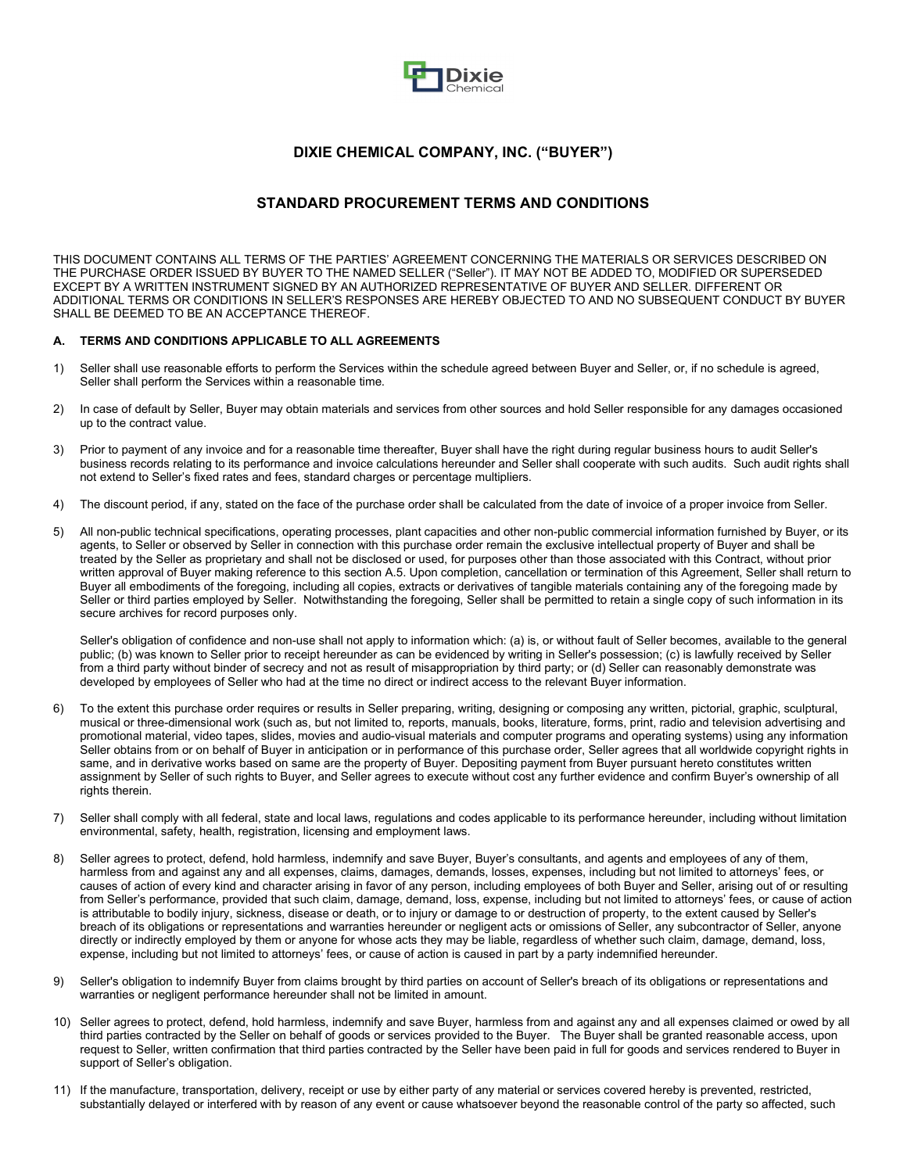

# **DIXIE CHEMICAL COMPANY, INC. ("BUYER")**

# **STANDARD PROCUREMENT TERMS AND CONDITIONS**

THIS DOCUMENT CONTAINS ALL TERMS OF THE PARTIES' AGREEMENT CONCERNING THE MATERIALS OR SERVICES DESCRIBED ON THE PURCHASE ORDER ISSUED BY BUYER TO THE NAMED SELLER ("Seller"). IT MAY NOT BE ADDED TO, MODIFIED OR SUPERSEDED EXCEPT BY A WRITTEN INSTRUMENT SIGNED BY AN AUTHORIZED REPRESENTATIVE OF BUYER AND SELLER. DIFFERENT OR ADDITIONAL TERMS OR CONDITIONS IN SELLER'S RESPONSES ARE HEREBY OBJECTED TO AND NO SUBSEQUENT CONDUCT BY BUYER SHALL BE DEEMED TO BE AN ACCEPTANCE THEREOF.

#### **A. TERMS AND CONDITIONS APPLICABLE TO ALL AGREEMENTS**

- 1) Seller shall use reasonable efforts to perform the Services within the schedule agreed between Buyer and Seller, or, if no schedule is agreed, Seller shall perform the Services within a reasonable time.
- 2) In case of default by Seller, Buyer may obtain materials and services from other sources and hold Seller responsible for any damages occasioned up to the contract value.
- 3) Prior to payment of any invoice and for a reasonable time thereafter, Buyer shall have the right during regular business hours to audit Seller's business records relating to its performance and invoice calculations hereunder and Seller shall cooperate with such audits. Such audit rights shall not extend to Seller's fixed rates and fees, standard charges or percentage multipliers.
- 4) The discount period, if any, stated on the face of the purchase order shall be calculated from the date of invoice of a proper invoice from Seller.
- 5) All non-public technical specifications, operating processes, plant capacities and other non-public commercial information furnished by Buyer, or its agents, to Seller or observed by Seller in connection with this purchase order remain the exclusive intellectual property of Buyer and shall be treated by the Seller as proprietary and shall not be disclosed or used, for purposes other than those associated with this Contract, without prior written approval of Buyer making reference to this section A.5. Upon completion, cancellation or termination of this Agreement, Seller shall return to Buyer all embodiments of the foregoing, including all copies, extracts or derivatives of tangible materials containing any of the foregoing made by Seller or third parties employed by Seller. Notwithstanding the foregoing, Seller shall be permitted to retain a single copy of such information in its secure archives for record purposes only.

Seller's obligation of confidence and non-use shall not apply to information which: (a) is, or without fault of Seller becomes, available to the general public; (b) was known to Seller prior to receipt hereunder as can be evidenced by writing in Seller's possession; (c) is lawfully received by Seller from a third party without binder of secrecy and not as result of misappropriation by third party; or (d) Seller can reasonably demonstrate was developed by employees of Seller who had at the time no direct or indirect access to the relevant Buyer information.

- 6) To the extent this purchase order requires or results in Seller preparing, writing, designing or composing any written, pictorial, graphic, sculptural, musical or three-dimensional work (such as, but not limited to, reports, manuals, books, literature, forms, print, radio and television advertising and promotional material, video tapes, slides, movies and audio-visual materials and computer programs and operating systems) using any information Seller obtains from or on behalf of Buyer in anticipation or in performance of this purchase order, Seller agrees that all worldwide copyright rights in same, and in derivative works based on same are the property of Buyer. Depositing payment from Buyer pursuant hereto constitutes written assignment by Seller of such rights to Buyer, and Seller agrees to execute without cost any further evidence and confirm Buyer's ownership of all rights therein.
- 7) Seller shall comply with all federal, state and local laws, regulations and codes applicable to its performance hereunder, including without limitation environmental, safety, health, registration, licensing and employment laws.
- 8) Seller agrees to protect, defend, hold harmless, indemnify and save Buyer, Buyer's consultants, and agents and employees of any of them, harmless from and against any and all expenses, claims, damages, demands, losses, expenses, including but not limited to attorneys' fees, or causes of action of every kind and character arising in favor of any person, including employees of both Buyer and Seller, arising out of or resulting from Seller's performance, provided that such claim, damage, demand, loss, expense, including but not limited to attorneys' fees, or cause of action is attributable to bodily injury, sickness, disease or death, or to injury or damage to or destruction of property, to the extent caused by Seller's breach of its obligations or representations and warranties hereunder or negligent acts or omissions of Seller, any subcontractor of Seller, anyone directly or indirectly employed by them or anyone for whose acts they may be liable, regardless of whether such claim, damage, demand, loss, expense, including but not limited to attorneys' fees, or cause of action is caused in part by a party indemnified hereunder.
- Seller's obligation to indemnify Buyer from claims brought by third parties on account of Seller's breach of its obligations or representations and warranties or negligent performance hereunder shall not be limited in amount.
- 10) Seller agrees to protect, defend, hold harmless, indemnify and save Buyer, harmless from and against any and all expenses claimed or owed by all third parties contracted by the Seller on behalf of goods or services provided to the Buyer. The Buyer shall be granted reasonable access, upon request to Seller, written confirmation that third parties contracted by the Seller have been paid in full for goods and services rendered to Buyer in support of Seller's obligation.
- 11) If the manufacture, transportation, delivery, receipt or use by either party of any material or services covered hereby is prevented, restricted, substantially delayed or interfered with by reason of any event or cause whatsoever beyond the reasonable control of the party so affected, such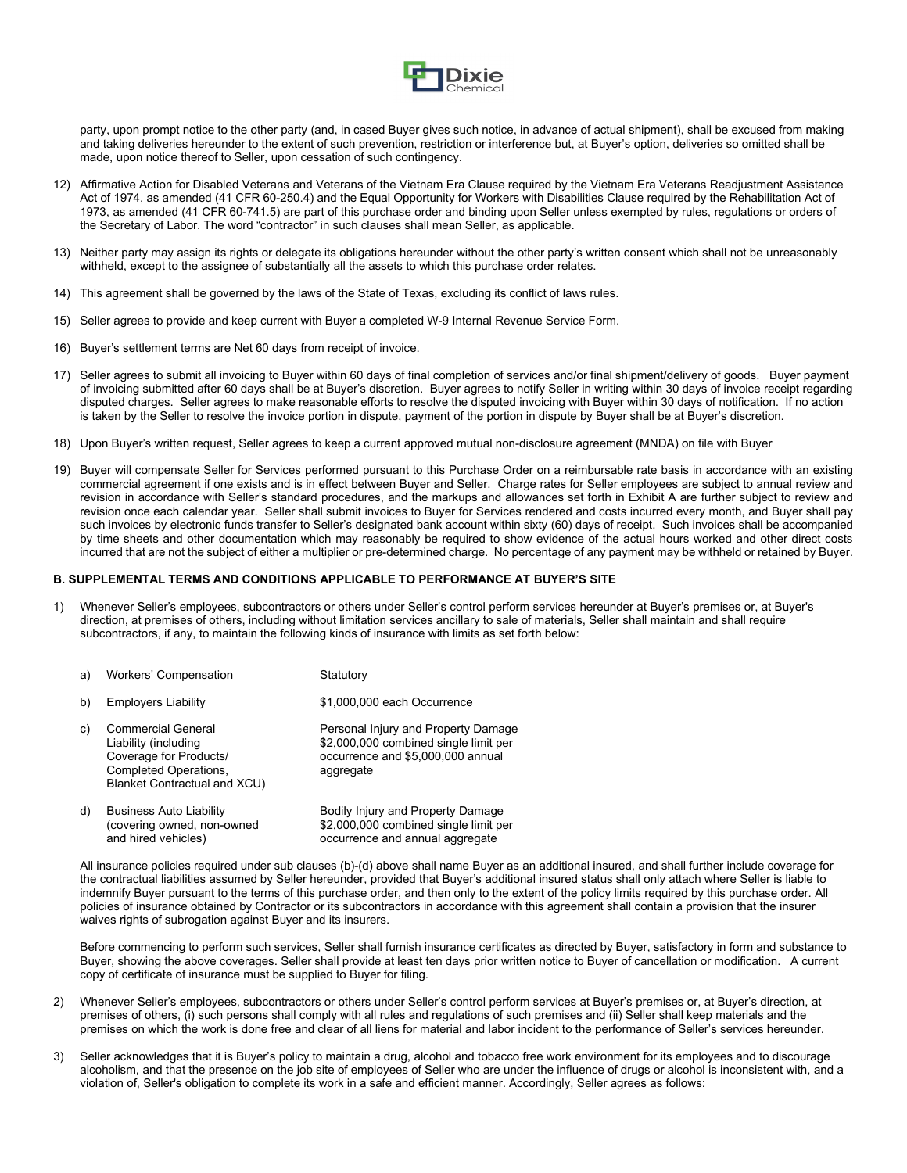

party, upon prompt notice to the other party (and, in cased Buyer gives such notice, in advance of actual shipment), shall be excused from making and taking deliveries hereunder to the extent of such prevention, restriction or interference but, at Buyer's option, deliveries so omitted shall be made, upon notice thereof to Seller, upon cessation of such contingency.

- 12) Affirmative Action for Disabled Veterans and Veterans of the Vietnam Era Clause required by the Vietnam Era Veterans Readjustment Assistance Act of 1974, as amended (41 CFR 60-250.4) and the Equal Opportunity for Workers with Disabilities Clause required by the Rehabilitation Act of 1973, as amended (41 CFR 60-741.5) are part of this purchase order and binding upon Seller unless exempted by rules, regulations or orders of the Secretary of Labor. The word "contractor" in such clauses shall mean Seller, as applicable.
- 13) Neither party may assign its rights or delegate its obligations hereunder without the other party's written consent which shall not be unreasonably withheld, except to the assignee of substantially all the assets to which this purchase order relates.
- 14) This agreement shall be governed by the laws of the State of Texas, excluding its conflict of laws rules.
- 15) Seller agrees to provide and keep current with Buyer a completed W-9 Internal Revenue Service Form.
- 16) Buyer's settlement terms are Net 60 days from receipt of invoice.

a) Workers' Compensation Statutory

- 17) Seller agrees to submit all invoicing to Buyer within 60 days of final completion of services and/or final shipment/delivery of goods. Buyer payment of invoicing submitted after 60 days shall be at Buyer's discretion. Buyer agrees to notify Seller in writing within 30 days of invoice receipt regarding disputed charges. Seller agrees to make reasonable efforts to resolve the disputed invoicing with Buyer within 30 days of notification. If no action is taken by the Seller to resolve the invoice portion in dispute, payment of the portion in dispute by Buyer shall be at Buyer's discretion.
- 18) Upon Buyer's written request, Seller agrees to keep a current approved mutual non-disclosure agreement (MNDA) on file with Buyer
- 19) Buyer will compensate Seller for Services performed pursuant to this Purchase Order on a reimbursable rate basis in accordance with an existing commercial agreement if one exists and is in effect between Buyer and Seller. Charge rates for Seller employees are subject to annual review and revision in accordance with Seller's standard procedures, and the markups and allowances set forth in Exhibit A are further subject to review and revision once each calendar year. Seller shall submit invoices to Buyer for Services rendered and costs incurred every month, and Buyer shall pay such invoices by electronic funds transfer to Seller's designated bank account within sixty (60) days of receipt. Such invoices shall be accompanied by time sheets and other documentation which may reasonably be required to show evidence of the actual hours worked and other direct costs incurred that are not the subject of either a multiplier or pre-determined charge. No percentage of any payment may be withheld or retained by Buyer.

#### **B. SUPPLEMENTAL TERMS AND CONDITIONS APPLICABLE TO PERFORMANCE AT BUYER'S SITE**

1) Whenever Seller's employees, subcontractors or others under Seller's control perform services hereunder at Buyer's premises or, at Buyer's direction, at premises of others, including without limitation services ancillary to sale of materials, Seller shall maintain and shall require subcontractors, if any, to maintain the following kinds of insurance with limits as set forth below:

| άI | <b><i>VVOLKETS COMPENSATION</i></b>                                                                                                  | Sialului y                                                                                                                     |
|----|--------------------------------------------------------------------------------------------------------------------------------------|--------------------------------------------------------------------------------------------------------------------------------|
| b) | <b>Employers Liability</b>                                                                                                           | \$1,000,000 each Occurrence                                                                                                    |
| C) | <b>Commercial General</b><br>Liability (including<br>Coverage for Products/<br>Completed Operations,<br>Blanket Contractual and XCU) | Personal Injury and Property Damage<br>\$2,000,000 combined single limit per<br>occurrence and \$5,000,000 annual<br>aggregate |
| d) | <b>Business Auto Liability</b><br>(covering owned, non-owned<br>and hired vehicles)                                                  | Bodily Injury and Property Damage<br>\$2,000,000 combined single limit per<br>occurrence and annual aggregate                  |

All insurance policies required under sub clauses (b)-(d) above shall name Buyer as an additional insured, and shall further include coverage for the contractual liabilities assumed by Seller hereunder, provided that Buyer's additional insured status shall only attach where Seller is liable to indemnify Buyer pursuant to the terms of this purchase order, and then only to the extent of the policy limits required by this purchase order. All policies of insurance obtained by Contractor or its subcontractors in accordance with this agreement shall contain a provision that the insurer waives rights of subrogation against Buyer and its insurers.

occurrence and annual aggregate

Before commencing to perform such services, Seller shall furnish insurance certificates as directed by Buyer, satisfactory in form and substance to Buyer, showing the above coverages. Seller shall provide at least ten days prior written notice to Buyer of cancellation or modification. A current copy of certificate of insurance must be supplied to Buyer for filing.

- 2) Whenever Seller's employees, subcontractors or others under Seller's control perform services at Buyer's premises or, at Buyer's direction, at premises of others, (i) such persons shall comply with all rules and regulations of such premises and (ii) Seller shall keep materials and the premises on which the work is done free and clear of all liens for material and labor incident to the performance of Seller's services hereunder.
- 3) Seller acknowledges that it is Buyer's policy to maintain a drug, alcohol and tobacco free work environment for its employees and to discourage alcoholism, and that the presence on the job site of employees of Seller who are under the influence of drugs or alcohol is inconsistent with, and a violation of, Seller's obligation to complete its work in a safe and efficient manner. Accordingly, Seller agrees as follows: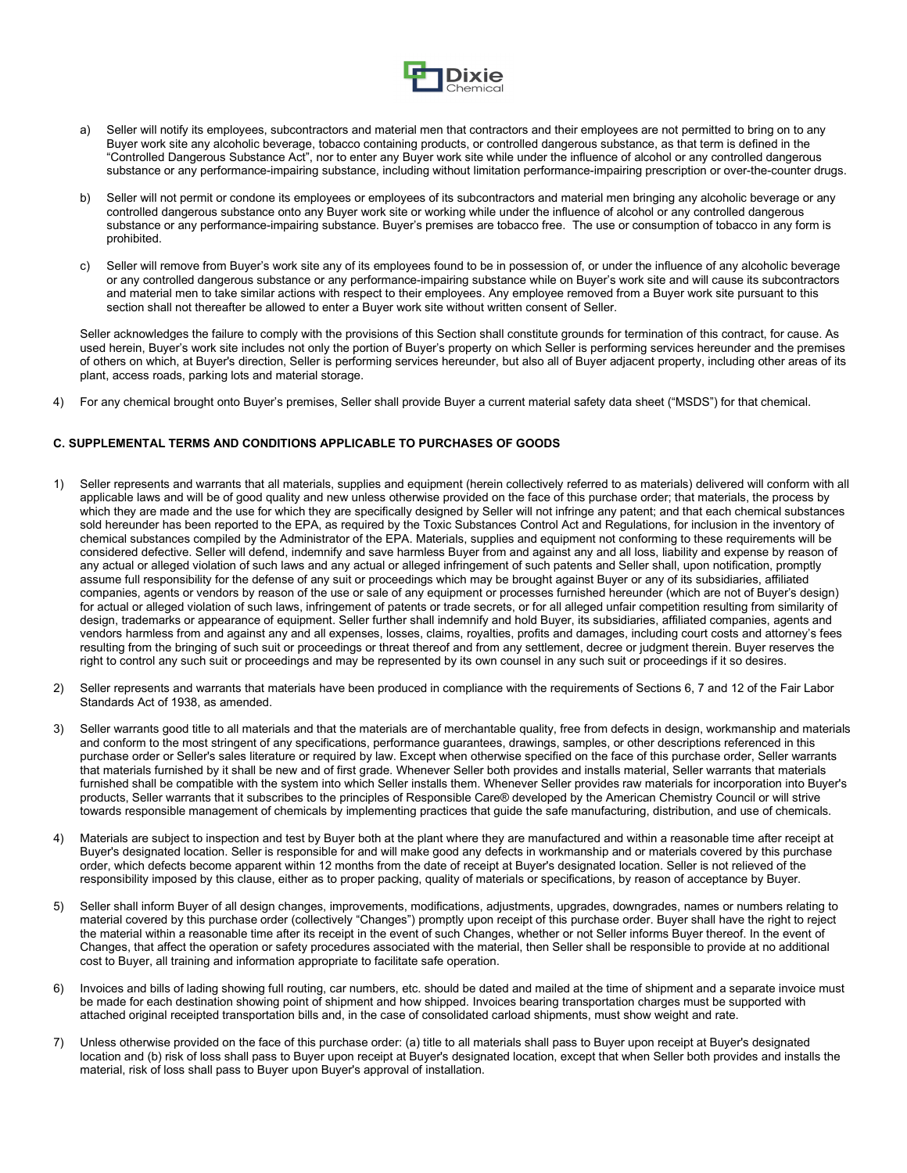

- a) Seller will notify its employees, subcontractors and material men that contractors and their employees are not permitted to bring on to any Buyer work site any alcoholic beverage, tobacco containing products, or controlled dangerous substance, as that term is defined in the "Controlled Dangerous Substance Act", nor to enter any Buyer work site while under the influence of alcohol or any controlled dangerous substance or any performance-impairing substance, including without limitation performance-impairing prescription or over-the-counter drugs.
- b) Seller will not permit or condone its employees or employees of its subcontractors and material men bringing any alcoholic beverage or any controlled dangerous substance onto any Buyer work site or working while under the influence of alcohol or any controlled dangerous substance or any performance-impairing substance. Buyer's premises are tobacco free. The use or consumption of tobacco in any form is prohibited.
- c) Seller will remove from Buyer's work site any of its employees found to be in possession of, or under the influence of any alcoholic beverage or any controlled dangerous substance or any performance-impairing substance while on Buyer's work site and will cause its subcontractors and material men to take similar actions with respect to their employees. Any employee removed from a Buyer work site pursuant to this section shall not thereafter be allowed to enter a Buyer work site without written consent of Seller.

Seller acknowledges the failure to comply with the provisions of this Section shall constitute grounds for termination of this contract, for cause. As used herein, Buyer's work site includes not only the portion of Buyer's property on which Seller is performing services hereunder and the premises of others on which, at Buyer's direction, Seller is performing services hereunder, but also all of Buyer adjacent property, including other areas of its plant, access roads, parking lots and material storage.

4) For any chemical brought onto Buyer's premises, Seller shall provide Buyer a current material safety data sheet ("MSDS") for that chemical.

## **C. SUPPLEMENTAL TERMS AND CONDITIONS APPLICABLE TO PURCHASES OF GOODS**

- 1) Seller represents and warrants that all materials, supplies and equipment (herein collectively referred to as materials) delivered will conform with all applicable laws and will be of good quality and new unless otherwise provided on the face of this purchase order; that materials, the process by which they are made and the use for which they are specifically designed by Seller will not infringe any patent; and that each chemical substances sold hereunder has been reported to the EPA, as required by the Toxic Substances Control Act and Regulations, for inclusion in the inventory of chemical substances compiled by the Administrator of the EPA. Materials, supplies and equipment not conforming to these requirements will be considered defective. Seller will defend, indemnify and save harmless Buyer from and against any and all loss, liability and expense by reason of any actual or alleged violation of such laws and any actual or alleged infringement of such patents and Seller shall, upon notification, promptly assume full responsibility for the defense of any suit or proceedings which may be brought against Buyer or any of its subsidiaries, affiliated companies, agents or vendors by reason of the use or sale of any equipment or processes furnished hereunder (which are not of Buyer's design) for actual or alleged violation of such laws, infringement of patents or trade secrets, or for all alleged unfair competition resulting from similarity of design, trademarks or appearance of equipment. Seller further shall indemnify and hold Buyer, its subsidiaries, affiliated companies, agents and vendors harmless from and against any and all expenses, losses, claims, royalties, profits and damages, including court costs and attorney's fees resulting from the bringing of such suit or proceedings or threat thereof and from any settlement, decree or judgment therein. Buyer reserves the right to control any such suit or proceedings and may be represented by its own counsel in any such suit or proceedings if it so desires.
- 2) Seller represents and warrants that materials have been produced in compliance with the requirements of Sections 6, 7 and 12 of the Fair Labor Standards Act of 1938, as amended.
- 3) Seller warrants good title to all materials and that the materials are of merchantable quality, free from defects in design, workmanship and materials and conform to the most stringent of any specifications, performance guarantees, drawings, samples, or other descriptions referenced in this purchase order or Seller's sales literature or required by law. Except when otherwise specified on the face of this purchase order, Seller warrants that materials furnished by it shall be new and of first grade. Whenever Seller both provides and installs material, Seller warrants that materials furnished shall be compatible with the system into which Seller installs them. Whenever Seller provides raw materials for incorporation into Buyer's products, Seller warrants that it subscribes to the principles of Responsible Care® developed by the American Chemistry Council or will strive towards responsible management of chemicals by implementing practices that guide the safe manufacturing, distribution, and use of chemicals.
- 4) Materials are subject to inspection and test by Buyer both at the plant where they are manufactured and within a reasonable time after receipt at Buyer's designated location. Seller is responsible for and will make good any defects in workmanship and or materials covered by this purchase order, which defects become apparent within 12 months from the date of receipt at Buyer's designated location. Seller is not relieved of the responsibility imposed by this clause, either as to proper packing, quality of materials or specifications, by reason of acceptance by Buyer.
- 5) Seller shall inform Buyer of all design changes, improvements, modifications, adjustments, upgrades, downgrades, names or numbers relating to material covered by this purchase order (collectively "Changes") promptly upon receipt of this purchase order. Buyer shall have the right to reject the material within a reasonable time after its receipt in the event of such Changes, whether or not Seller informs Buyer thereof. In the event of Changes, that affect the operation or safety procedures associated with the material, then Seller shall be responsible to provide at no additional cost to Buyer, all training and information appropriate to facilitate safe operation.
- 6) Invoices and bills of lading showing full routing, car numbers, etc. should be dated and mailed at the time of shipment and a separate invoice must be made for each destination showing point of shipment and how shipped. Invoices bearing transportation charges must be supported with attached original receipted transportation bills and, in the case of consolidated carload shipments, must show weight and rate.
- 7) Unless otherwise provided on the face of this purchase order: (a) title to all materials shall pass to Buyer upon receipt at Buyer's designated location and (b) risk of loss shall pass to Buyer upon receipt at Buyer's designated location, except that when Seller both provides and installs the material, risk of loss shall pass to Buyer upon Buyer's approval of installation.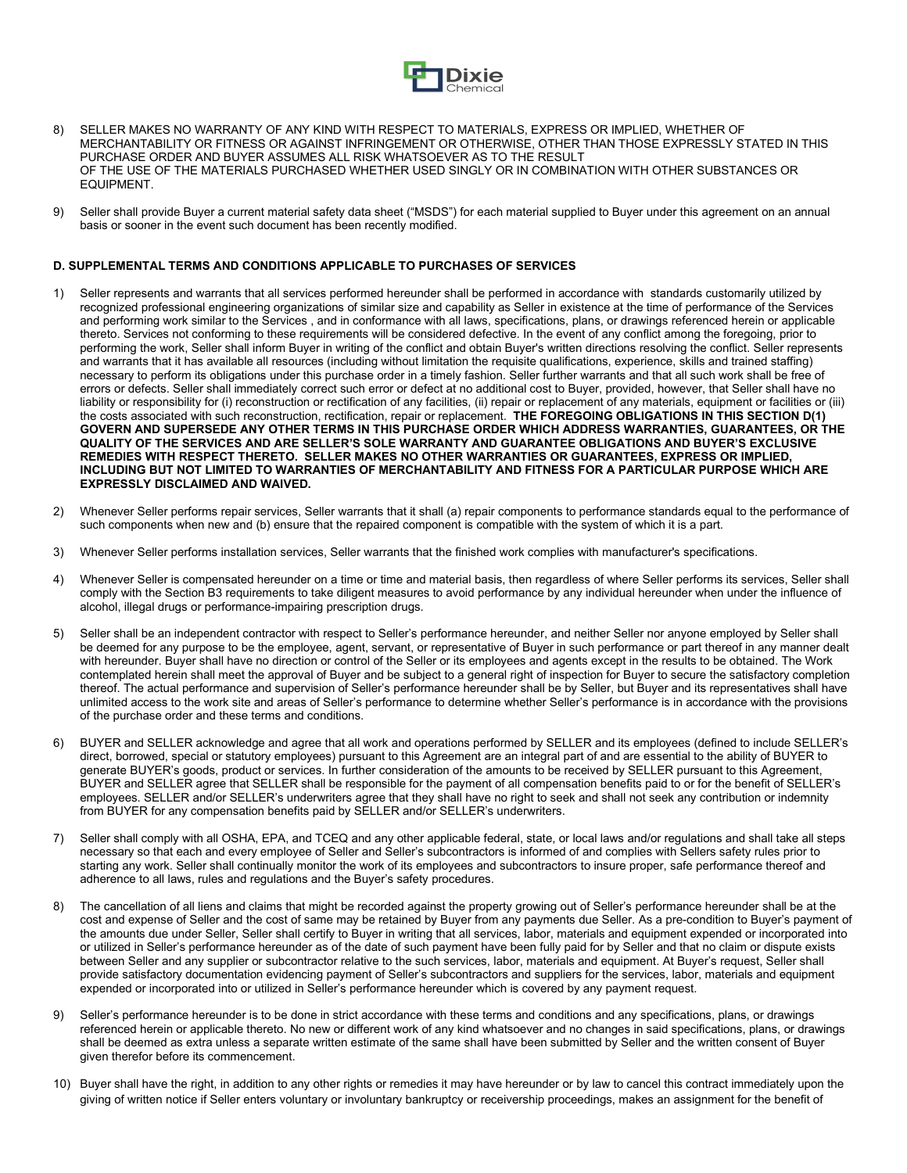

- 8) SELLER MAKES NO WARRANTY OF ANY KIND WITH RESPECT TO MATERIALS, EXPRESS OR IMPLIED, WHETHER OF MERCHANTABILITY OR FITNESS OR AGAINST INFRINGEMENT OR OTHERWISE, OTHER THAN THOSE EXPRESSLY STATED IN THIS PURCHASE ORDER AND BUYER ASSUMES ALL RISK WHATSOEVER AS TO THE RESULT OF THE USE OF THE MATERIALS PURCHASED WHETHER USED SINGLY OR IN COMBINATION WITH OTHER SUBSTANCES OR EQUIPMENT.
- 9) Seller shall provide Buyer a current material safety data sheet ("MSDS") for each material supplied to Buyer under this agreement on an annual basis or sooner in the event such document has been recently modified.

### **D. SUPPLEMENTAL TERMS AND CONDITIONS APPLICABLE TO PURCHASES OF SERVICES**

- 1) Seller represents and warrants that all services performed hereunder shall be performed in accordance with standards customarily utilized by recognized professional engineering organizations of similar size and capability as Seller in existence at the time of performance of the Services and performing work similar to the Services , and in conformance with all laws, specifications, plans, or drawings referenced herein or applicable thereto. Services not conforming to these requirements will be considered defective. In the event of any conflict among the foregoing, prior to performing the work, Seller shall inform Buyer in writing of the conflict and obtain Buyer's written directions resolving the conflict. Seller represents and warrants that it has available all resources (including without limitation the requisite qualifications, experience, skills and trained staffing) necessary to perform its obligations under this purchase order in a timely fashion. Seller further warrants and that all such work shall be free of errors or defects. Seller shall immediately correct such error or defect at no additional cost to Buyer, provided, however, that Seller shall have no liability or responsibility for (i) reconstruction or rectification of any facilities, (ii) repair or replacement of any materials, equipment or facilities or (iii) the costs associated with such reconstruction, rectification, repair or replacement. **THE FOREGOING OBLIGATIONS IN THIS SECTION D(1) GOVERN AND SUPERSEDE ANY OTHER TERMS IN THIS PURCHASE ORDER WHICH ADDRESS WARRANTIES, GUARANTEES, OR THE QUALITY OF THE SERVICES AND ARE SELLER'S SOLE WARRANTY AND GUARANTEE OBLIGATIONS AND BUYER'S EXCLUSIVE REMEDIES WITH RESPECT THERETO. SELLER MAKES NO OTHER WARRANTIES OR GUARANTEES, EXPRESS OR IMPLIED, INCLUDING BUT NOT LIMITED TO WARRANTIES OF MERCHANTABILITY AND FITNESS FOR A PARTICULAR PURPOSE WHICH ARE EXPRESSLY DISCLAIMED AND WAIVED.**
- 2) Whenever Seller performs repair services, Seller warrants that it shall (a) repair components to performance standards equal to the performance of such components when new and (b) ensure that the repaired component is compatible with the system of which it is a part.
- 3) Whenever Seller performs installation services, Seller warrants that the finished work complies with manufacturer's specifications.
- 4) Whenever Seller is compensated hereunder on a time or time and material basis, then regardless of where Seller performs its services, Seller shall comply with the Section B3 requirements to take diligent measures to avoid performance by any individual hereunder when under the influence of alcohol, illegal drugs or performance-impairing prescription drugs.
- 5) Seller shall be an independent contractor with respect to Seller's performance hereunder, and neither Seller nor anyone employed by Seller shall be deemed for any purpose to be the employee, agent, servant, or representative of Buyer in such performance or part thereof in any manner dealt with hereunder. Buyer shall have no direction or control of the Seller or its employees and agents except in the results to be obtained. The Work contemplated herein shall meet the approval of Buyer and be subject to a general right of inspection for Buyer to secure the satisfactory completion thereof. The actual performance and supervision of Seller's performance hereunder shall be by Seller, but Buyer and its representatives shall have unlimited access to the work site and areas of Seller's performance to determine whether Seller's performance is in accordance with the provisions of the purchase order and these terms and conditions.
- 6) BUYER and SELLER acknowledge and agree that all work and operations performed by SELLER and its employees (defined to include SELLER's direct, borrowed, special or statutory employees) pursuant to this Agreement are an integral part of and are essential to the ability of BUYER to generate BUYER's goods, product or services. In further consideration of the amounts to be received by SELLER pursuant to this Agreement, BUYER and SELLER agree that SELLER shall be responsible for the payment of all compensation benefits paid to or for the benefit of SELLER's employees. SELLER and/or SELLER's underwriters agree that they shall have no right to seek and shall not seek any contribution or indemnity from BUYER for any compensation benefits paid by SELLER and/or SELLER's underwriters.
- 7) Seller shall comply with all OSHA, EPA, and TCEQ and any other applicable federal, state, or local laws and/or regulations and shall take all steps necessary so that each and every employee of Seller and Seller's subcontractors is informed of and complies with Sellers safety rules prior to starting any work. Seller shall continually monitor the work of its employees and subcontractors to insure proper, safe performance thereof and adherence to all laws, rules and regulations and the Buyer's safety procedures.
- The cancellation of all liens and claims that might be recorded against the property growing out of Seller's performance hereunder shall be at the cost and expense of Seller and the cost of same may be retained by Buyer from any payments due Seller. As a pre-condition to Buyer's payment of the amounts due under Seller, Seller shall certify to Buyer in writing that all services, labor, materials and equipment expended or incorporated into or utilized in Seller's performance hereunder as of the date of such payment have been fully paid for by Seller and that no claim or dispute exists between Seller and any supplier or subcontractor relative to the such services, labor, materials and equipment. At Buyer's request, Seller shall provide satisfactory documentation evidencing payment of Seller's subcontractors and suppliers for the services, labor, materials and equipment expended or incorporated into or utilized in Seller's performance hereunder which is covered by any payment request.
- Seller's performance hereunder is to be done in strict accordance with these terms and conditions and any specifications, plans, or drawings referenced herein or applicable thereto. No new or different work of any kind whatsoever and no changes in said specifications, plans, or drawings shall be deemed as extra unless a separate written estimate of the same shall have been submitted by Seller and the written consent of Buyer given therefor before its commencement.
- 10) Buyer shall have the right, in addition to any other rights or remedies it may have hereunder or by law to cancel this contract immediately upon the giving of written notice if Seller enters voluntary or involuntary bankruptcy or receivership proceedings, makes an assignment for the benefit of